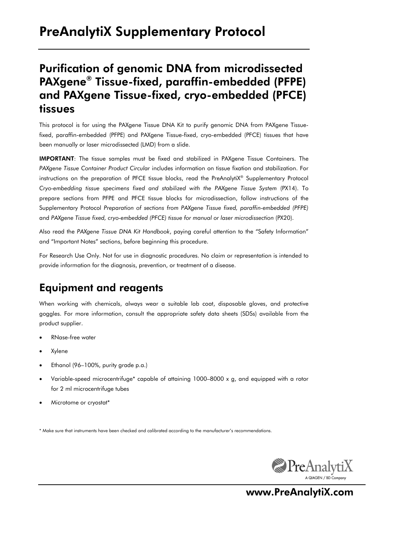# PreAnalytiX Supplementary Protocol

## Purification of genomic DNA from microdissected PAXgene® Tissue-fixed, paraffin-embedded (PFPE) and PAXgene Tissue-fixed, cryo-embedded (PFCE) tissues

This protocol is for using the PAXgene Tissue DNA Kit to purify genomic DNA from PAXgene Tissuefixed, paraffin-embedded (PFPE) and PAXgene Tissue-fixed, cryo-embedded (PFCE) tissues that have been manually or laser microdissected (LMD) from a slide.

IMPORTANT: The tissue samples must be fixed and stabilized in PAXgene Tissue Containers. The *PAXgene Tissue Container Product Circular* includes information on tissue fixation and stabilization. For instructions on the preparation of PFCE tissue blocks, read the PreAnalytiX® Supplementary Protocol *Cryo-embedding tissue specimens fixed and stabilized with the PAXgene Tissue System* (PX14). To prepare sections from PFPE and PFCE tissue blocks for microdissection, follow instructions of the Supplementary Protocol *Preparation of sections from PAXgene Tissue fixed, paraffin-embedded (PFPE)* and *PAXgene Tissue fixed, cryo-embedded (PFCE) tissue for manual or laser microdissection* (PX20).

Also read the *PAXgene Tissue DNA Kit Handbook*, paying careful attention to the "Safety Information" and "Important Notes" sections, before beginning this procedure.

For Research Use Only. Not for use in diagnostic procedures. No claim or representation is intended to provide information for the diagnosis, prevention, or treatment of a disease.

#### Equipment and reagents

When working with chemicals, always wear a suitable lab coat, disposable gloves, and protective goggles. For more information, consult the appropriate safety data sheets (SDSs) available from the product supplier.

- RNase-free water
- Xylene
- Ethanol (96–100%, purity grade p.a.)
- Variable-speed microcentrifuge\* capable of attaining 1000–8000 x g, and equipped with a rotor for 2 ml microcentrifuge tubes
- Microtome or cryostat\*

\* Make sure that instruments have been checked and calibrated according to the manufacturer's recommendations.



www.PreAnalytiX.com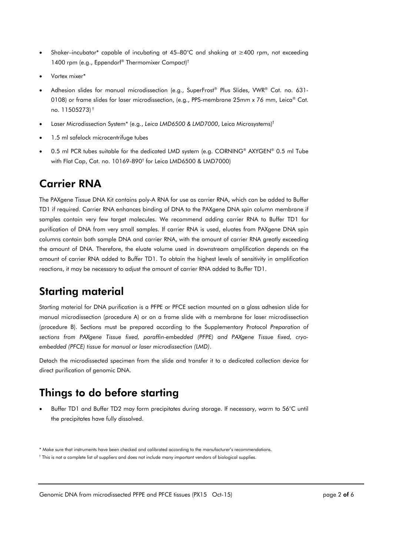- Shaker–incubator\* capable of incubating at 45–80°C and shaking at ≥400 rpm, not exceeding 1400 rpm (e.g., Eppendorf® Thermomixer Compact)†
- Vortex mixer\*
- Adhesion slides for manual microdissection (e.g., SuperFrost® Plus Slides, VWR® Cat. no. 631- 0108) or frame slides for laser microdissection, (e.g., PPS-membrane 25mm x 76 mm, Leica® Cat. no. 11505273) †
- Laser Microdissection System\* (e.g., *Leica LMD6500 & LMD7000*, Leica Microsystems)†
- 1.5 ml safelock microcentrifuge tubes
- $\bullet$  0.5 ml PCR tubes suitable for the dedicated LMD system (e.g. CORNING® AXYGEN® 0.5 ml Tube with Flat Cap, Cat. no. 10169-890† for Leica LMD6500 & LMD7000)

#### Carrier RNA

The PAXgene Tissue DNA Kit contains poly-A RNA for use as carrier RNA, which can be added to Buffer TD1 if required. Carrier RNA enhances binding of DNA to the PAXgene DNA spin column membrane if samples contain very few target molecules. We recommend adding carrier RNA to Buffer TD1 for purification of DNA from very small samples. If carrier RNA is used, eluates from PAXgene DNA spin columns contain both sample DNA and carrier RNA, with the amount of carrier RNA greatly exceeding the amount of DNA. Therefore, the eluate volume used in downstream amplification depends on the amount of carrier RNA added to Buffer TD1. To obtain the highest levels of sensitivity in amplification reactions, it may be necessary to adjust the amount of carrier RNA added to Buffer TD1.

#### Starting material

Starting material for DNA purification is a PFPE or PFCE section mounted on a glass adhesion slide for manual microdissection (procedure A) or on a frame slide with a membrane for laser microdissection (procedure B). Sections must be prepared according to the Supplementary Protocol *Preparation of sections from PAXgene Tissue fixed, paraffin-embedded (PFPE) and PAXgene Tissue fixed, cryoembedded (PFCE) tissue for manual or laser microdissection (LMD)*.

Detach the microdissected specimen from the slide and transfer it to a dedicated collection device for direct purification of genomic DNA.

### Things to do before starting

 Buffer TD1 and Buffer TD2 may form precipitates during storage. If necessary, warm to 56°C until the precipitates have fully dissolved.

<sup>\*</sup> Make sure that instruments have been checked and calibrated according to the manufacturer's recommendations.

<sup>†</sup> This is not a complete list of suppliers and does not include many important vendors of biological supplies.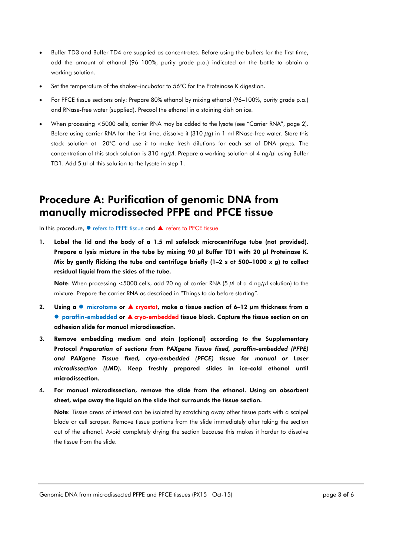- Buffer TD3 and Buffer TD4 are supplied as concentrates. Before using the buffers for the first time, add the amount of ethanol (96–100%, purity grade p.a.) indicated on the bottle to obtain a working solution.
- Set the temperature of the shaker–incubator to 56°C for the Proteinase K digestion.
- For PFCE tissue sections only: Prepare 80% ethanol by mixing ethanol (96–100%, purity grade p.a.) and RNase-free water (supplied). Precool the ethanol in a staining dish on ice.
- When processing <5000 cells, carrier RNA may be added to the lysate (see "Carrier RNA", page 2). Before using carrier RNA for the first time, dissolve it (310 μg) in 1 ml RNase-free water. Store this stock solution at –20°C and use it to make fresh dilutions for each set of DNA preps. The concentration of this stock solution is 310 ng/μl. Prepare a working solution of 4 ng/μl using Buffer TD1. Add 5  $\mu$ l of this solution to the lysate in step 1.

#### Procedure A: Purification of genomic DNA from manually microdissected PFPE and PFCE tissue

In this procedure, ● refers to PFPE tissue and ▲ refers to PFCE tissue

1. Label the lid and the body of a 1.5 ml safelock microcentrifuge tube (not provided). Prepare a lysis mixture in the tube by mixing 90 μl Buffer TD1 with 20 μl Proteinase K. Mix by gently flicking the tube and centrifuge briefly (1–2 s at 500–1000 x *g*) to collect residual liquid from the sides of the tube.

Note: When processing <5000 cells, add 20 ng of carrier RNA (5  $\mu$ l of a 4 ng/ $\mu$ l solution) to the mixture. Prepare the carrier RNA as described in "Things to do before starting".

- 2. Using a  $\bullet$  microtome or  $\blacktriangle$  cryostat, make a tissue section of 6–12  $\mu$ m thickness from a ● paraffin-embedded or ▲ cryo-embedded tissue block. Capture the tissue section on an adhesion slide for manual microdissection.
- 3. Remove embedding medium and stain (optional) according to the Supplementary Protocol *Preparation of sections from PAXgene Tissue fixed, paraffin-embedded (PFPE) and PAXgene Tissue fixed, cryo-embedded (PFCE) tissue for manual or Laser microdissection (LMD).* Keep freshly prepared slides in ice-cold ethanol until microdissection.
- 4. For manual microdissection, remove the slide from the ethanol. Using an absorbent sheet, wipe away the liquid on the slide that surrounds the tissue section.

Note: Tissue areas of interest can be isolated by scratching away other tissue parts with a scalpel blade or cell scraper. Remove tissue portions from the slide immediately after taking the section out of the ethanol. Avoid completely drying the section because this makes it harder to dissolve the tissue from the slide.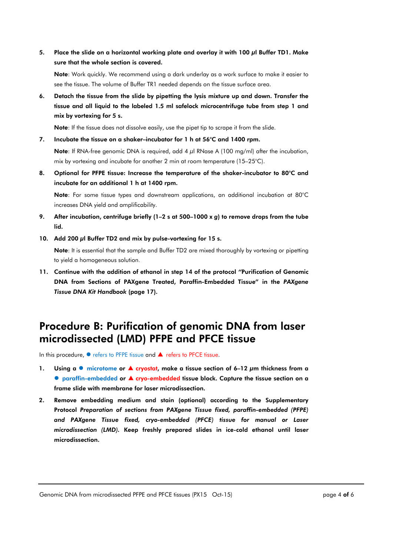5. Place the slide on a horizontal working plate and overlay it with 100 μl Buffer TD1. Make sure that the whole section is covered.

Note: Work quickly. We recommend using a dark underlay as a work surface to make it easier to see the tissue. The volume of Buffer TR1 needed depends on the tissue surface area.

6. Detach the tissue from the slide by pipetting the lysis mixture up and down. Transfer the tissue and all liquid to the labeled 1.5 ml safelock microcentrifuge tube from step 1 and mix by vortexing for 5 s.

Note: If the tissue does not dissolve easily, use the pipet tip to scrape it from the slide.

7. Incubate the tissue on a shaker–incubator for 1 h at 56°C and 1400 rpm.

Note: If RNA-free genomic DNA is required, add 4 μl RNase A (100 mg/ml) after the incubation, mix by vortexing and incubate for another 2 min at room temperature (15–25°C).

8. Optional for PFPE tissue: Increase the temperature of the shaker-incubator to 80°C and incubate for an additional 1 h at 1400 rpm.

Note: For some tissue types and downstream applications, an additional incubation at 80°C increases DNA yield and amplificability.

- 9. After incubation, centrifuge briefly (1–2 s at 500–1000 x *g*) to remove drops from the tube lid.
- 10. Add 200 μl Buffer TD2 and mix by pulse-vortexing for 15 s.

Note: It is essential that the sample and Buffer TD2 are mixed thoroughly by vortexing or pipetting to yield a homogeneous solution.

11. Continue with the addition of ethanol in step 14 of the protocol *"*Purification of Genomic DNA from Sections of PAXgene Treated, Paraffin-Embedded Tissue" in the *PAXgene Tissue DNA Kit Handbook* (page 17).

#### Procedure B: Purification of genomic DNA from laser microdissected (LMD) PFPE and PFCE tissue

In this procedure, ● refers to PFPE tissue and ▲ refers to PFCE tissue.

- 1. Using a  $\bullet$  microtome or  $\blacktriangle$  cryostat, make a tissue section of 6–12  $\mu$ m thickness from a ● paraffin-embedded or ▲ cryo-embedded tissue block. Capture the tissue section on a frame slide with membrane for laser microdissection.
- 2. Remove embedding medium and stain (optional) according to the Supplementary Protocol *Preparation of sections from PAXgene Tissue fixed, paraffin-embedded (PFPE) and PAXgene Tissue fixed, cryo-embedded (PFCE) tissue for manual or Laser microdissection (LMD).* Keep freshly prepared slides in ice-cold ethanol until laser microdissection.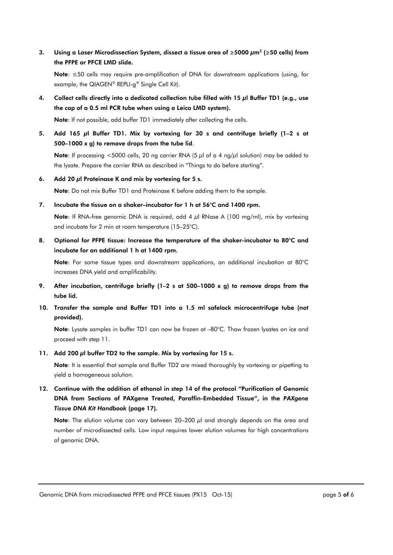3. Using a Laser Microdissection System, dissect a tissue area of **≥**5000 μm2 (**≥**50 cells) from the PFPE or PFCE LMD slide.

Note: ≤50 cells may require pre-amplification of DNA for downstream applications (using, for example, the QIAGEN® REPLI-g® Single Cell Kit).

4. Collect cells directly into a dedicated collection tube filled with 15 μl Buffer TD1 (e.g., use the cap of a 0.5 ml PCR tube when using a Leica LMD system).

Note: If not possible, add buffer TD1 immediately after collecting the cells.

5. Add 165 μl Buffer TD1. Mix by vortexing for 30 s and centrifuge briefly (1–2 s at 500–1000 x g) to remove drops from the tube lid.

Note: If processing <5000 cells, 20 ng carrier RNA (5 μl of a 4 ng/μl solution) may be added to the lysate. Prepare the carrier RNA as described in "Things to do before starting".

6. Add 20 μl Proteinase K and mix by vortexing for 5 s.

Note: Do not mix Buffer TD1 and Proteinase K before adding them to the sample.

7. Incubate the tissue on a shaker–incubator for 1 h at 56°C and 1400 rpm.

Note: If RNA-free genomic DNA is required, add 4 μl RNase A (100 mg/ml), mix by vortexing and incubate for 2 min at room temperature (15–25°C).

8. Optional for PFPE tissue: Increase the temperature of the shaker-incubator to 80°C and incubate for an additional 1 h at 1400 rpm.

Note: For some tissue types and downstream applications, an additional incubation at 80°C increases DNA yield and amplificability.

- 9. After incubation, centrifuge briefly (1–2 s at 500–1000 x g) to remove drops from the tube lid.
- 10. Transfer the sample and Buffer TD1 into a 1.5 ml safelock microcentrifuge tube (not provided).

Note: Lysate samples in buffer TD1 can now be frozen at –80°C. Thaw frozen lysates on ice and proceed with step 11.

11. Add 200 µl buffer TD2 to the sample. Mix by vortexing for 15 s.

Note: It is essential that sample and Buffer TD2 are mixed thoroughly by vortexing or pipetting to yield a homogeneous solution.

12. Continue with the addition of ethanol in step 14 of the protocol *"*Purification of Genomic DNA from Sections of PAXgene Treated, Paraffin-Embedded Tissue", in the *PAXgene Tissue DNA Kit Handbook* (page 17).

Note: The elution volume can vary between  $20-200 \mu l$  and strongly depends on the area and number of microdissected cells. Low input requires lower elution volumes for high concentrations of genomic DNA.